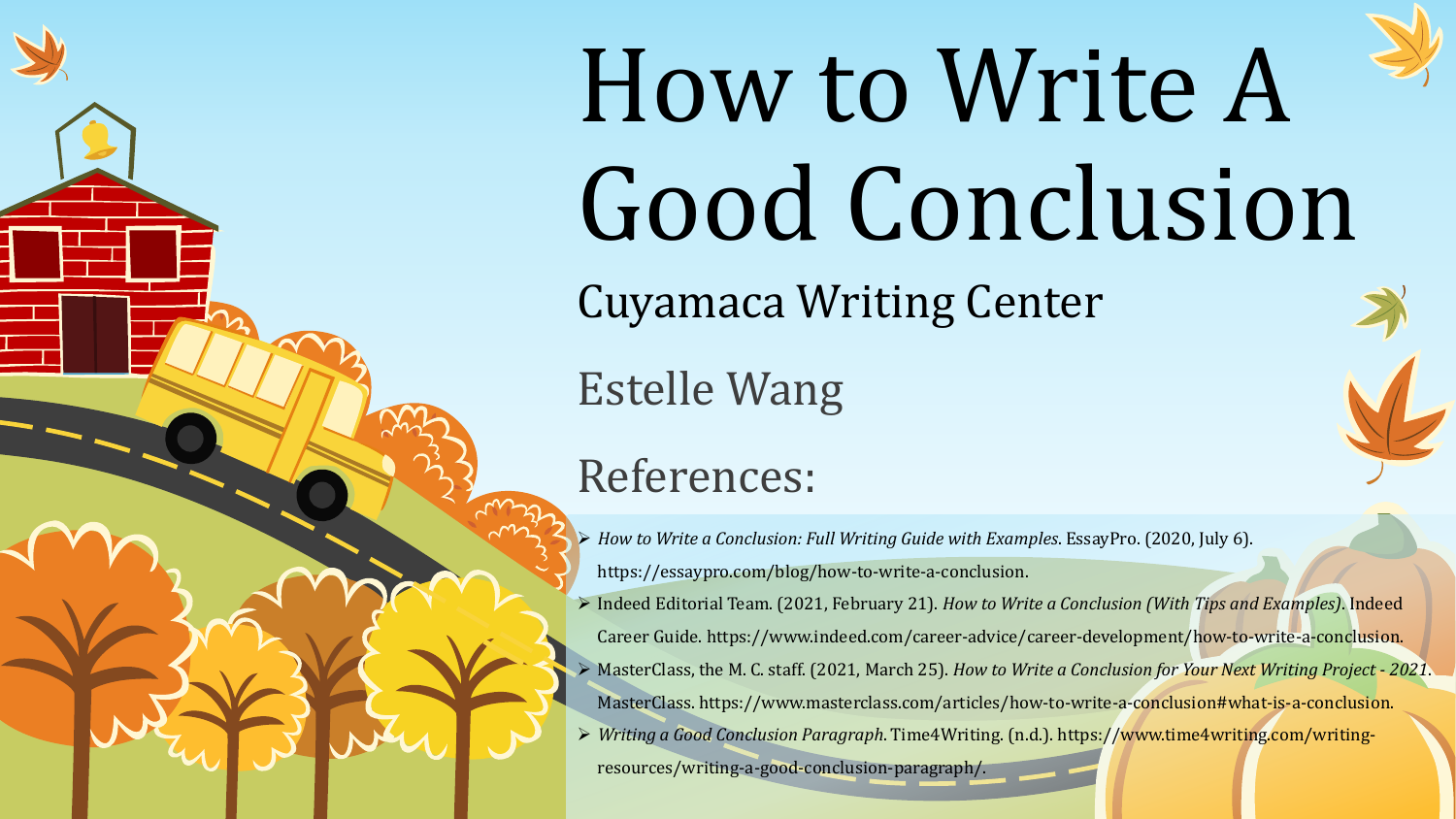

# How to Write A Good Conclusion

Cuyamaca Writing Center

Estelle Wang

#### References:

- *How to Write a Conclusion: Full Writing Guide with Examples*. EssayPro. (2020, July 6). https://essaypro.com/blog/how-to-write-a-conclusion.
- Indeed Editorial Team. (2021, February 21). *How to Write a Conclusion (With Tips and Examples)*. Indeed Career Guide. https://www.indeed.com/career-advice/career-development/how-to-write-a-conclusion.
- MasterClass, the M. C. staff. (2021, March 25). *How to Write a Conclusion for Your Next Writing Project - 2021*. MasterClass. https://www.masterclass.com/articles/how-to-write-a-conclusion#what-is-a-conclusion.
- *Writing a Good Conclusion Paragraph*. Time4Writing. (n.d.). https://www.time4writing.com/writing-

resources/writing-a-good-conclusion-paragraph/.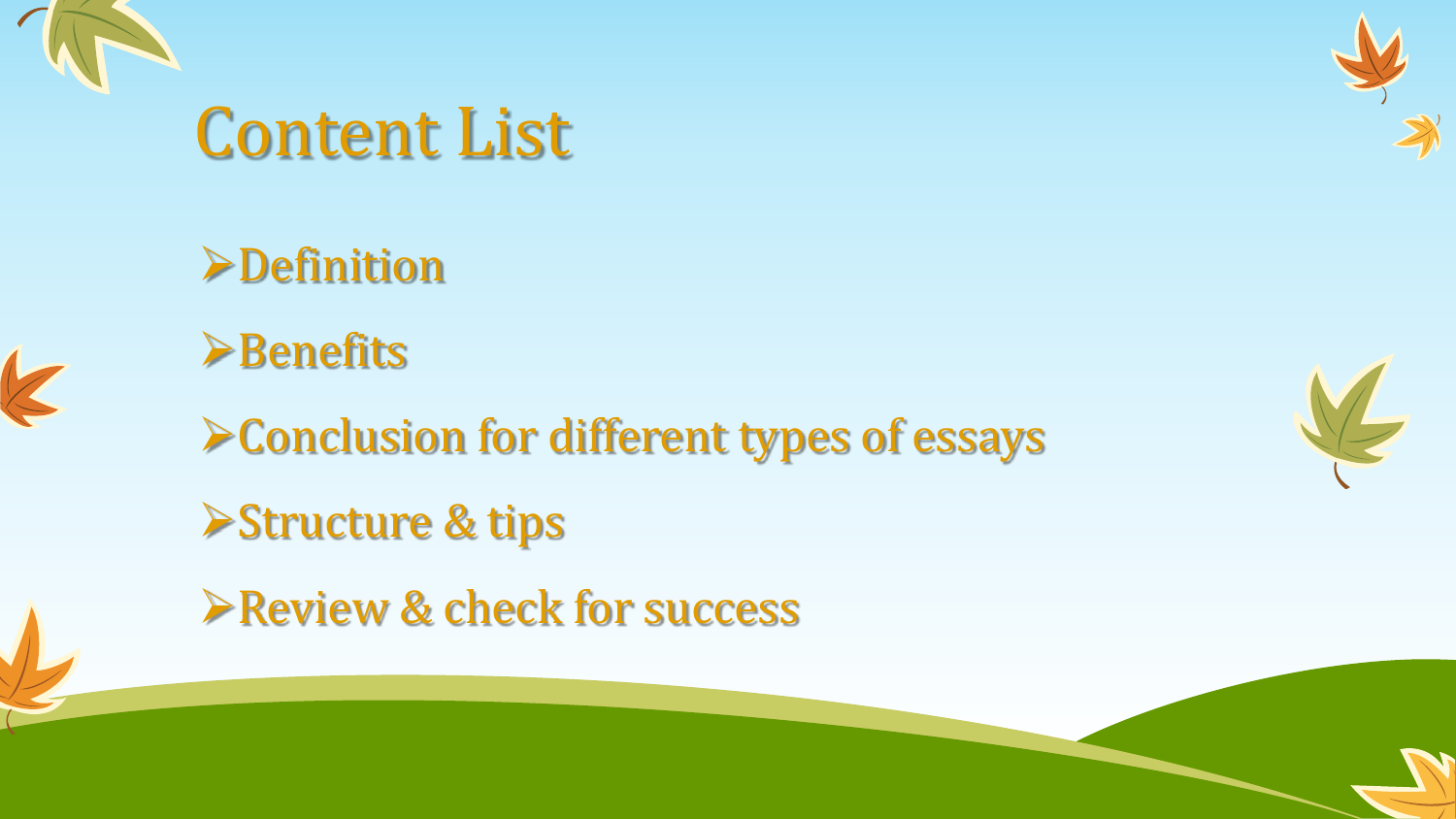

K

### Content List





Conclusion for different types of essays

**Structure & tips** 

**Review & check for success** 



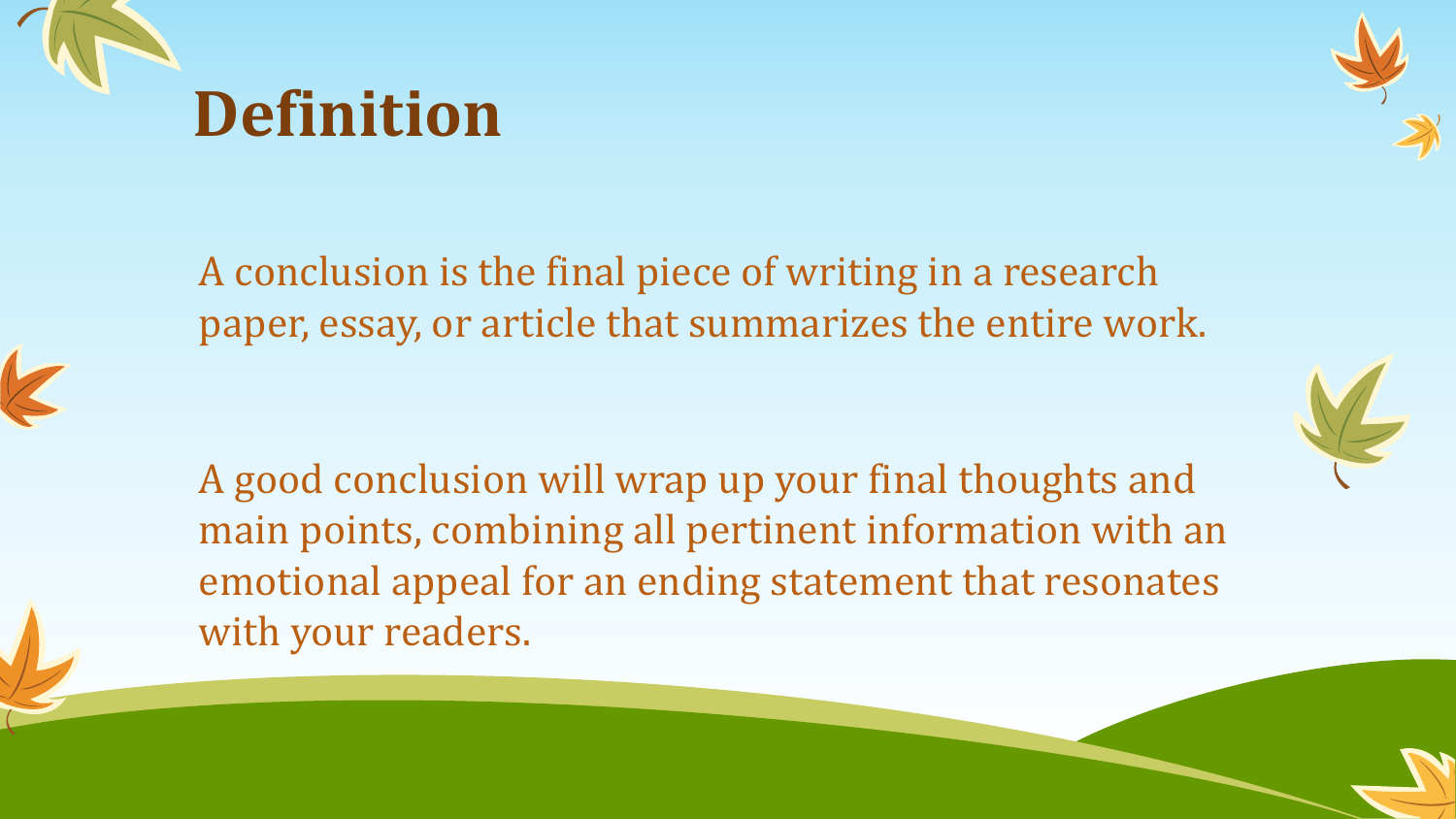



A conclusion is the final piece of writing in a research paper, essay, or article that summarizes the entire work.



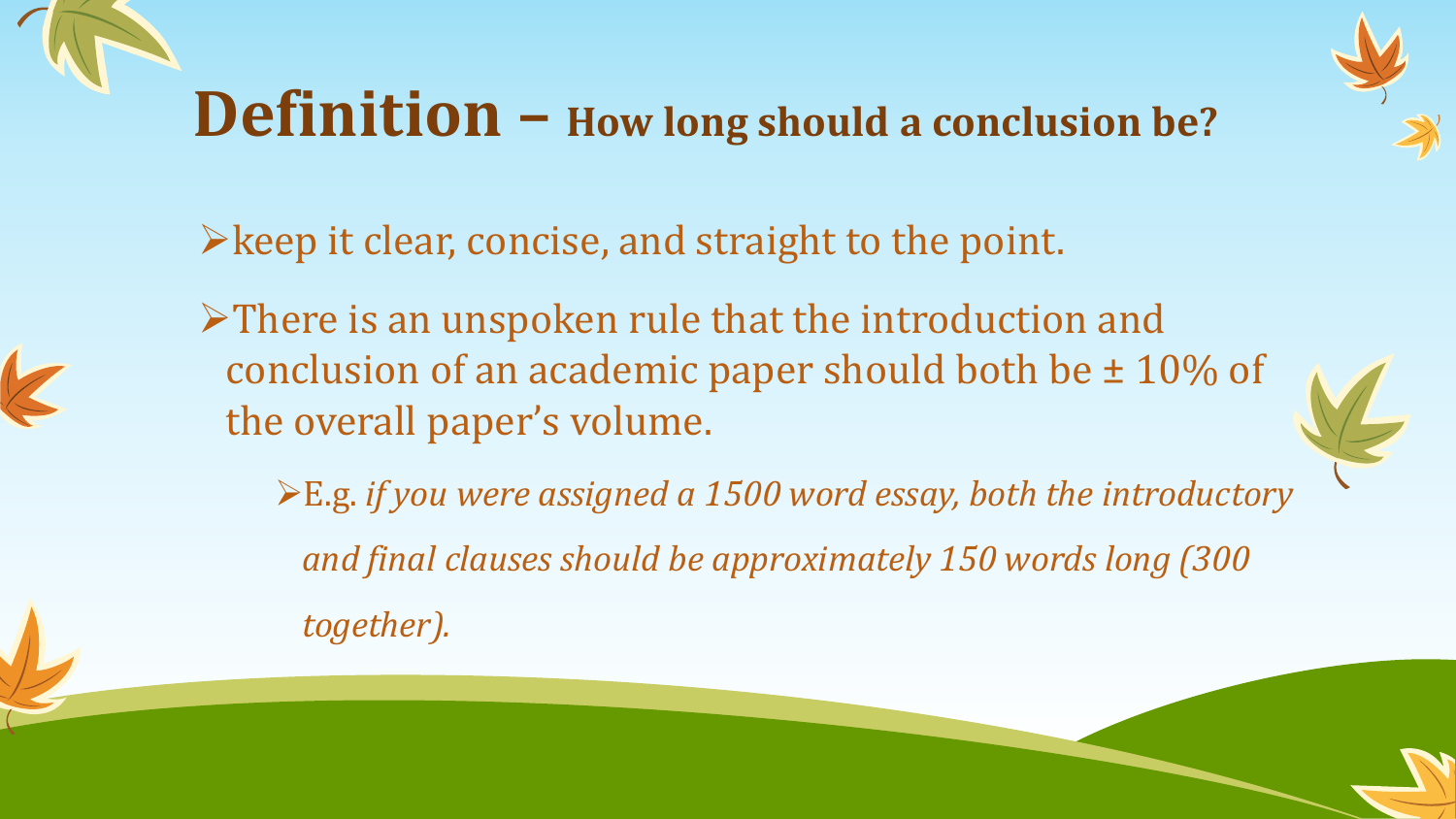### **Definition – How long should a conclusion be?**



 $\triangleright$  keep it clear, concise, and straight to the point.

There is an unspoken rule that the introduction and conclusion of an academic paper should both be  $\pm$  10% of the overall paper's volume.



E.g. *if you were assigned a 1500 word essay, both the introductory and final clauses should be approximately 150 words long (300 together).*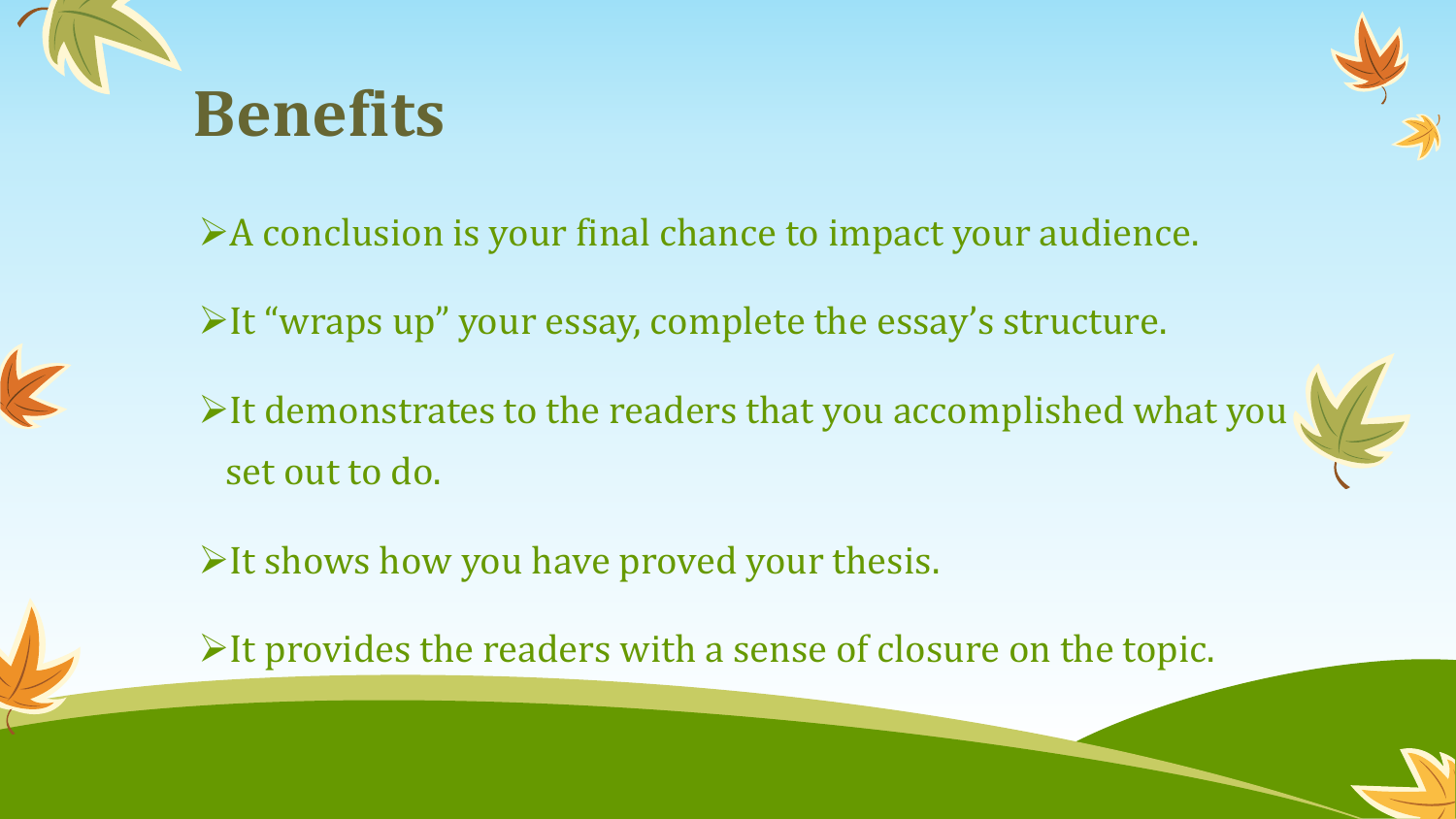



A conclusion is your final chance to impact your audience.

It "wraps up" your essay, complete the essay's structure.

It demonstrates to the readers that you accomplished what you set out to do.

 $\triangleright$  It shows how you have proved your thesis.

 $\triangleright$  It provides the readers with a sense of closure on the topic.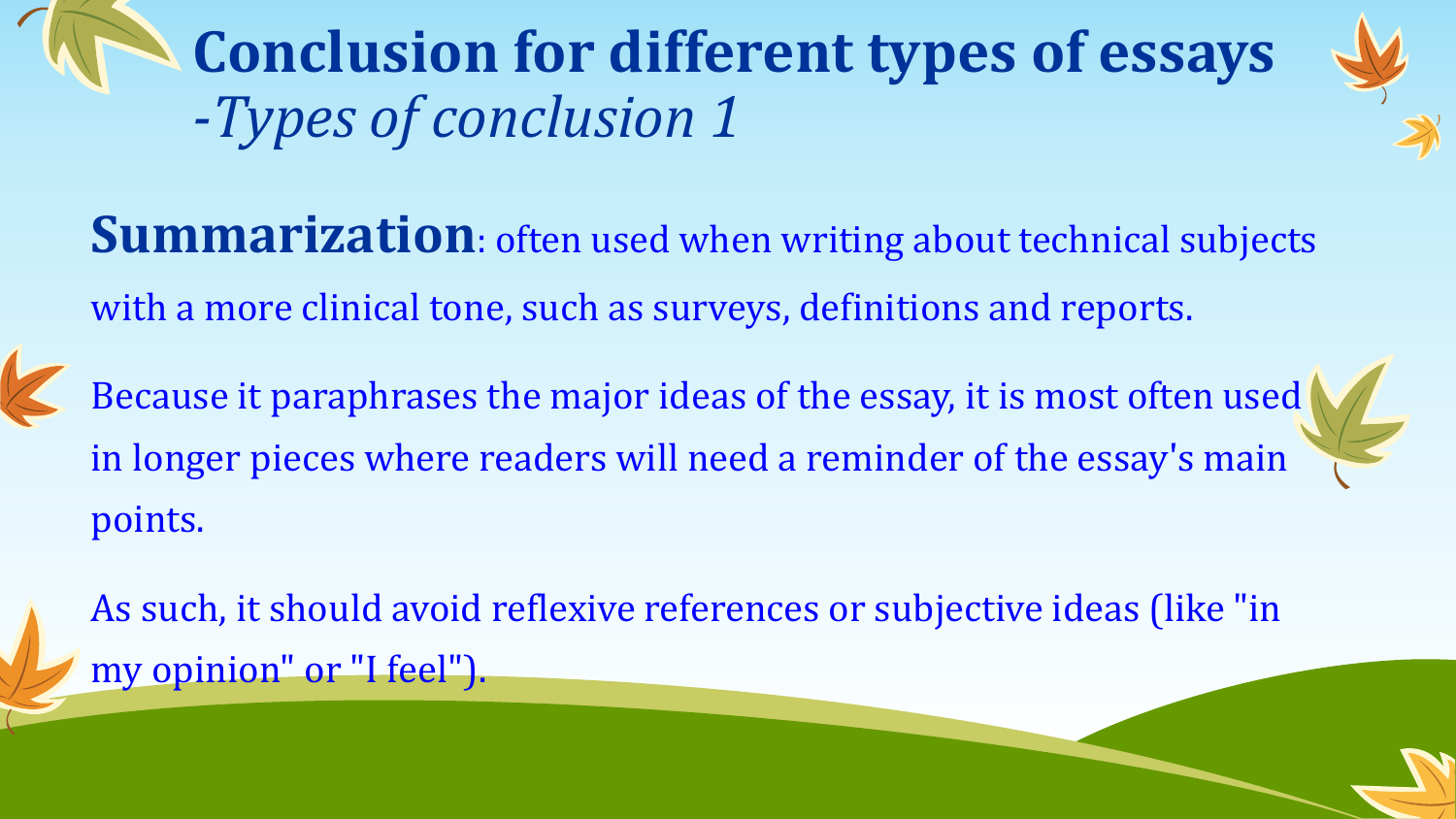**Conclusion for different types of essays** *-Types of conclusion 1*



Because it paraphrases the major ideas of the essay, it is most often used in longer pieces where readers will need a reminder of the essay's main points.

As such, it should avoid reflexive references or subjective ideas (like "in my opinion" or "I feel").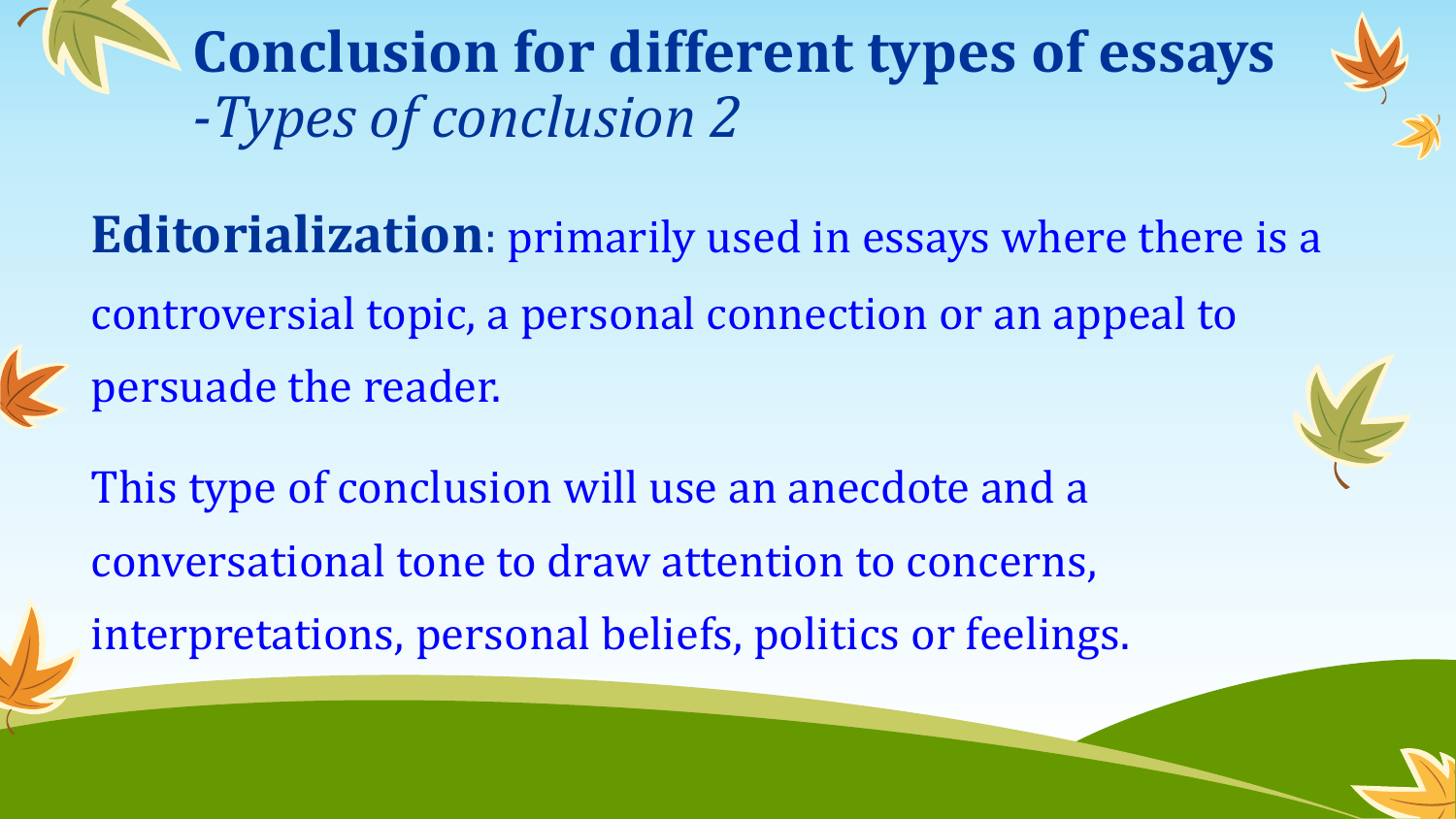**Conclusion for different types of essays** *-Types of conclusion 2*

**Editorialization**: primarily used in essays where there is a controversial topic, a personal connection or an appeal to persuade the reader.

This type of conclusion will use an anecdote and a conversational tone to draw attention to concerns, interpretations, personal beliefs, politics or feelings.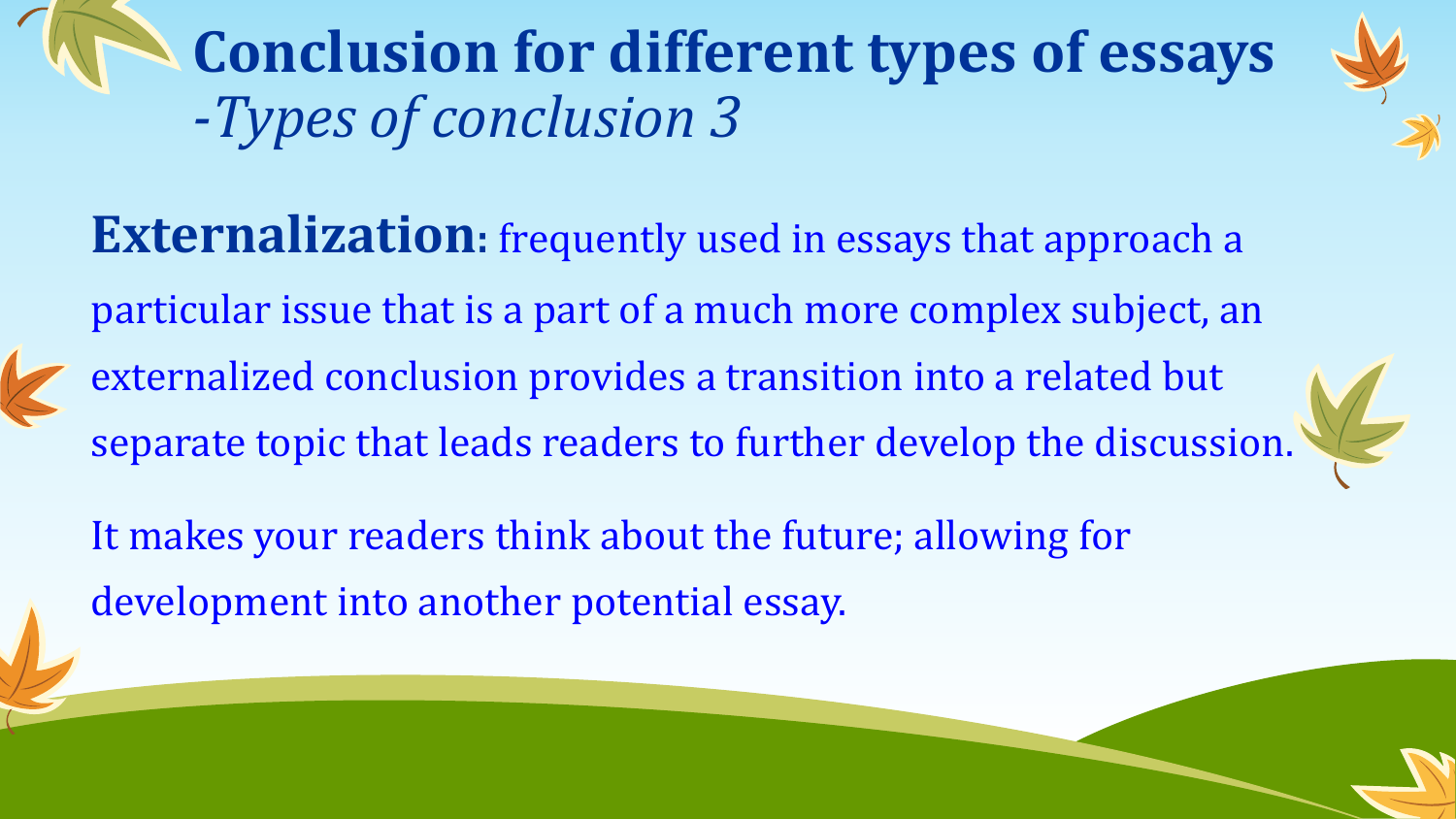**Conclusion for different types of essays** *-Types of conclusion 3*

**Externalization:** frequently used in essays that approach a particular issue that is a part of a much more complex subject, an externalized conclusion provides a transition into a related but separate topic that leads readers to further develop the discussion.



It makes your readers think about the future; allowing for development into another potential essay.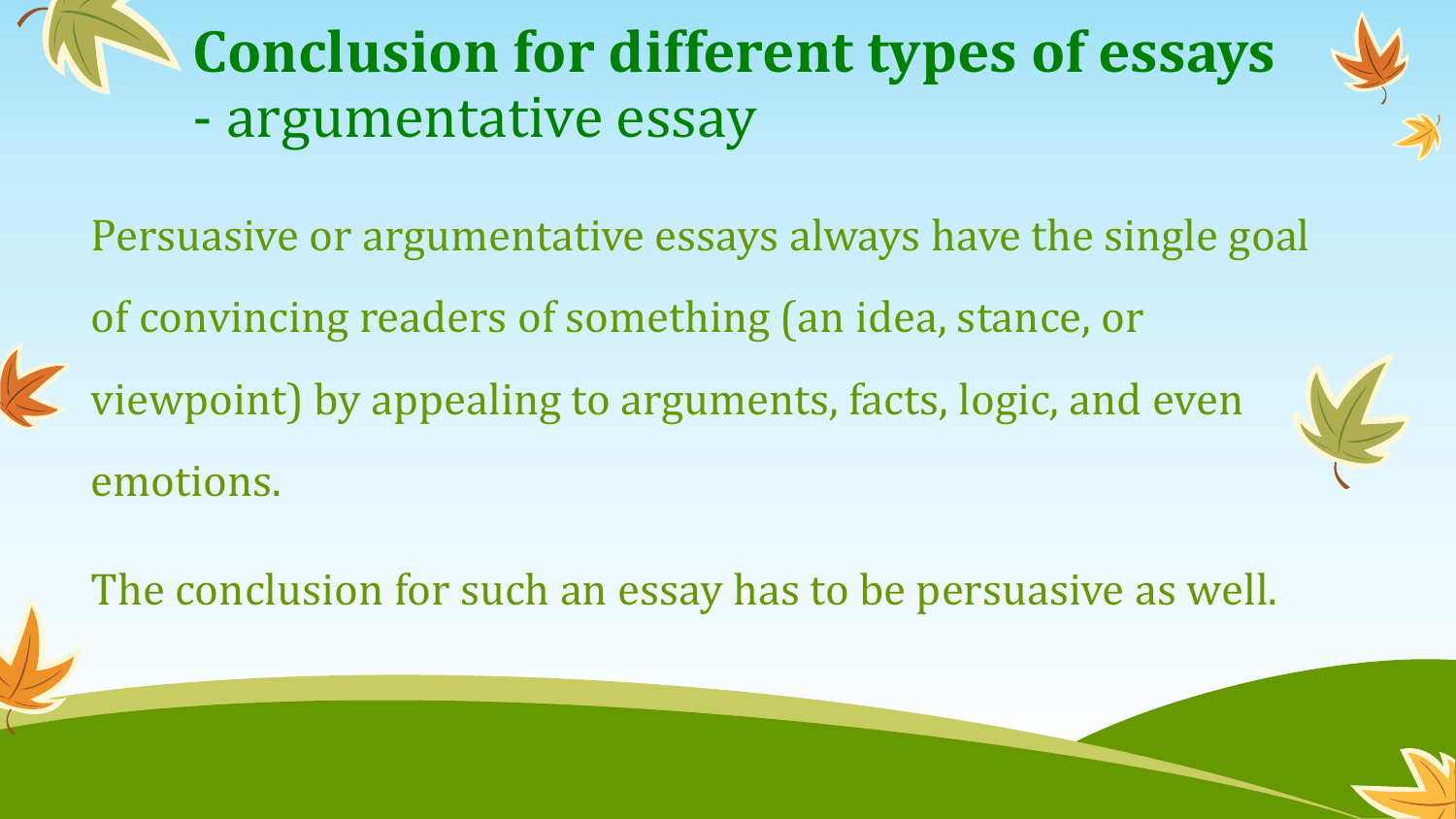**Conclusion for different types of essays** - argumentative essay



viewpoint) by appealing to arguments, facts, logic, and even emotions.

The conclusion for such an essay has to be persuasive as well.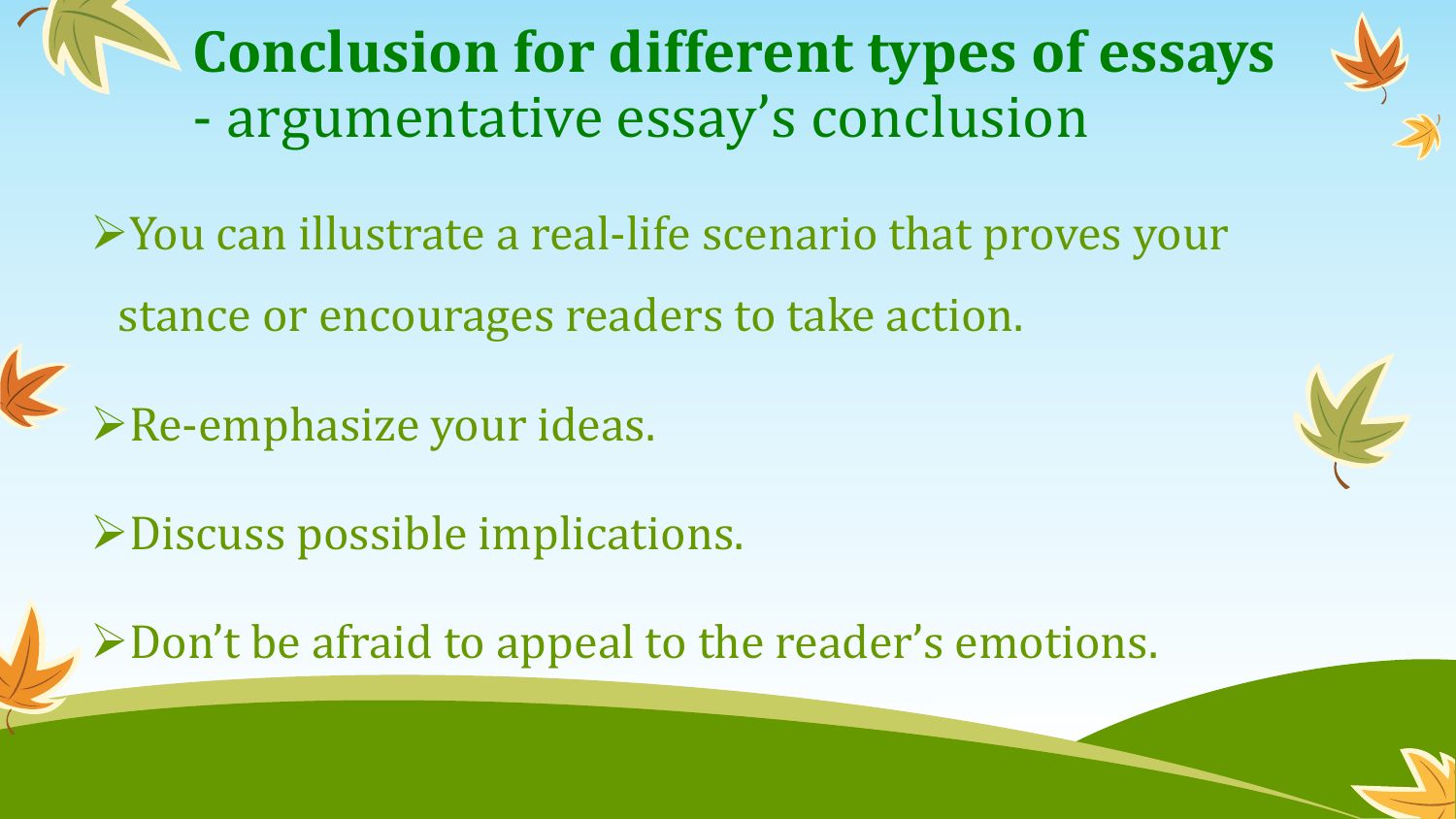**Conclusion for different types of essays** - argumentative essay's conclusion

You can illustrate a real-life scenario that proves your stance or encourages readers to take action.

Re-emphasize your ideas.

Discuss possible implications.

Don't be afraid to appeal to the reader's emotions.

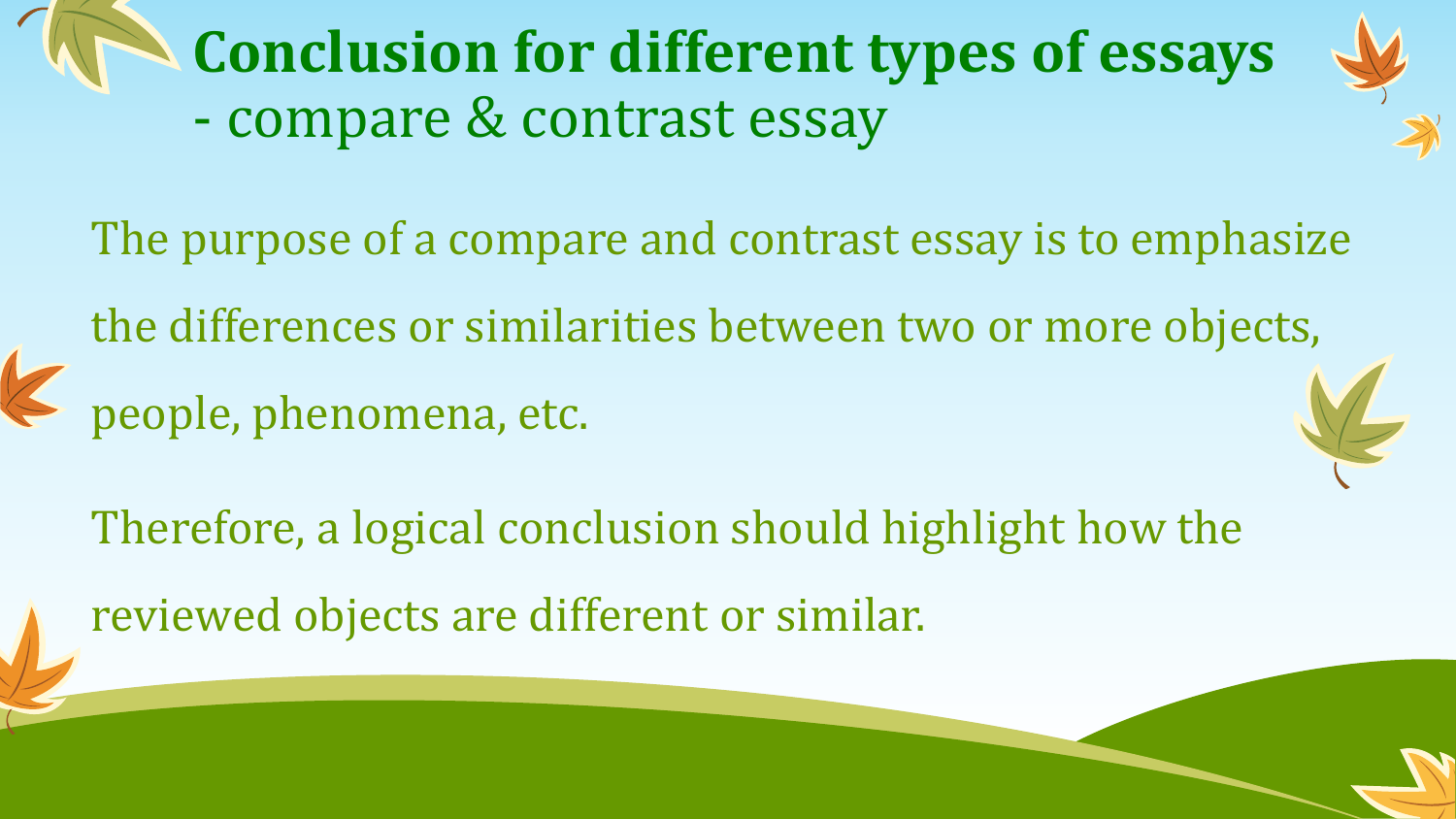**Conclusion for different types of essays** - compare & contrast essay



The purpose of a compare and contrast essay is to emphasize

the differences or similarities between two or more objects, people, phenomena, etc.



Therefore, a logical conclusion should highlight how the reviewed objects are different or similar.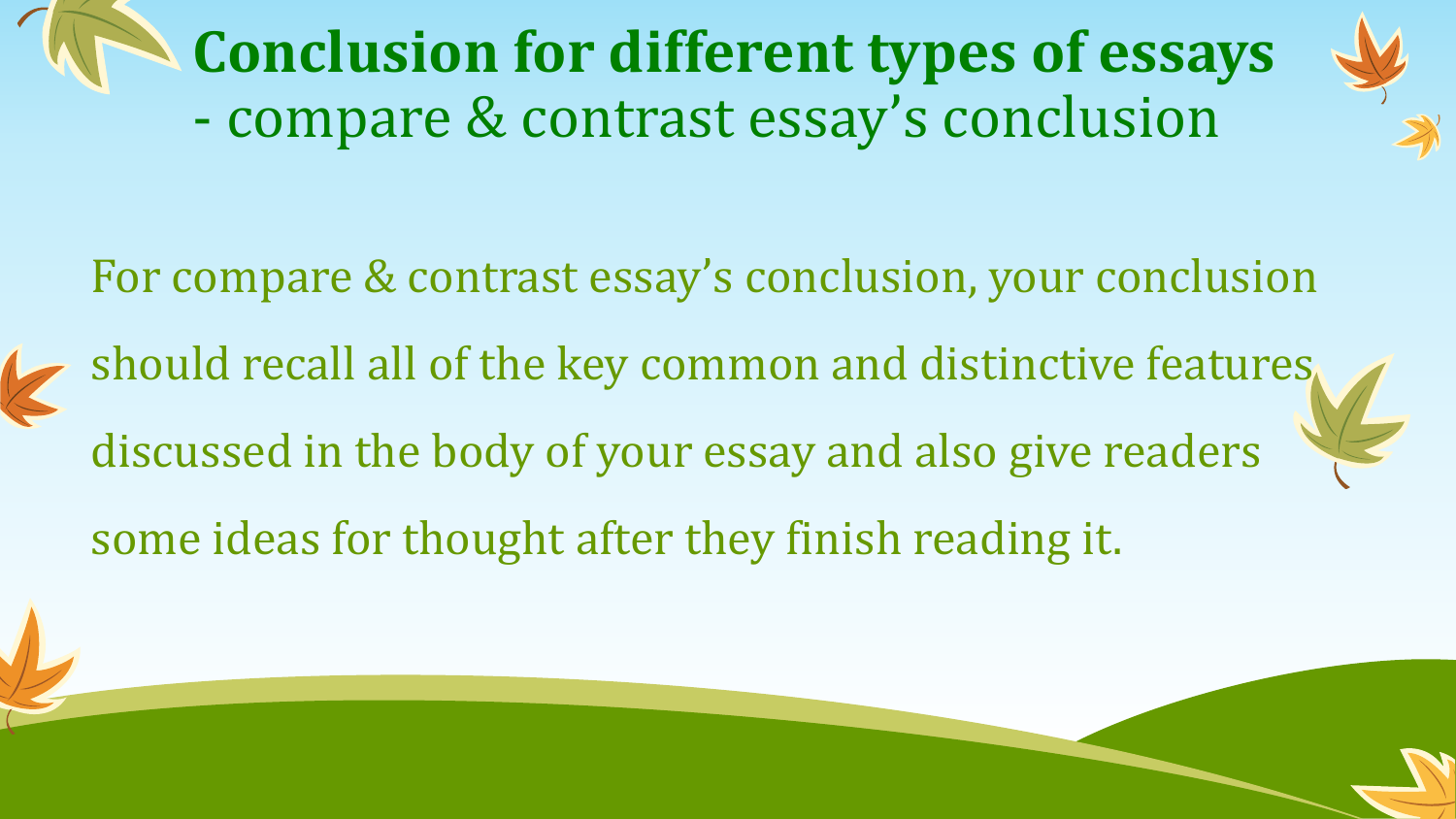**Conclusion for different types of essays** - compare & contrast essay's conclusion



For compare & contrast essay's conclusion, your conclusion

- should recall all of the key common and distinctive features discussed in the body of your essay and also give readers
	- some ideas for thought after they finish reading it.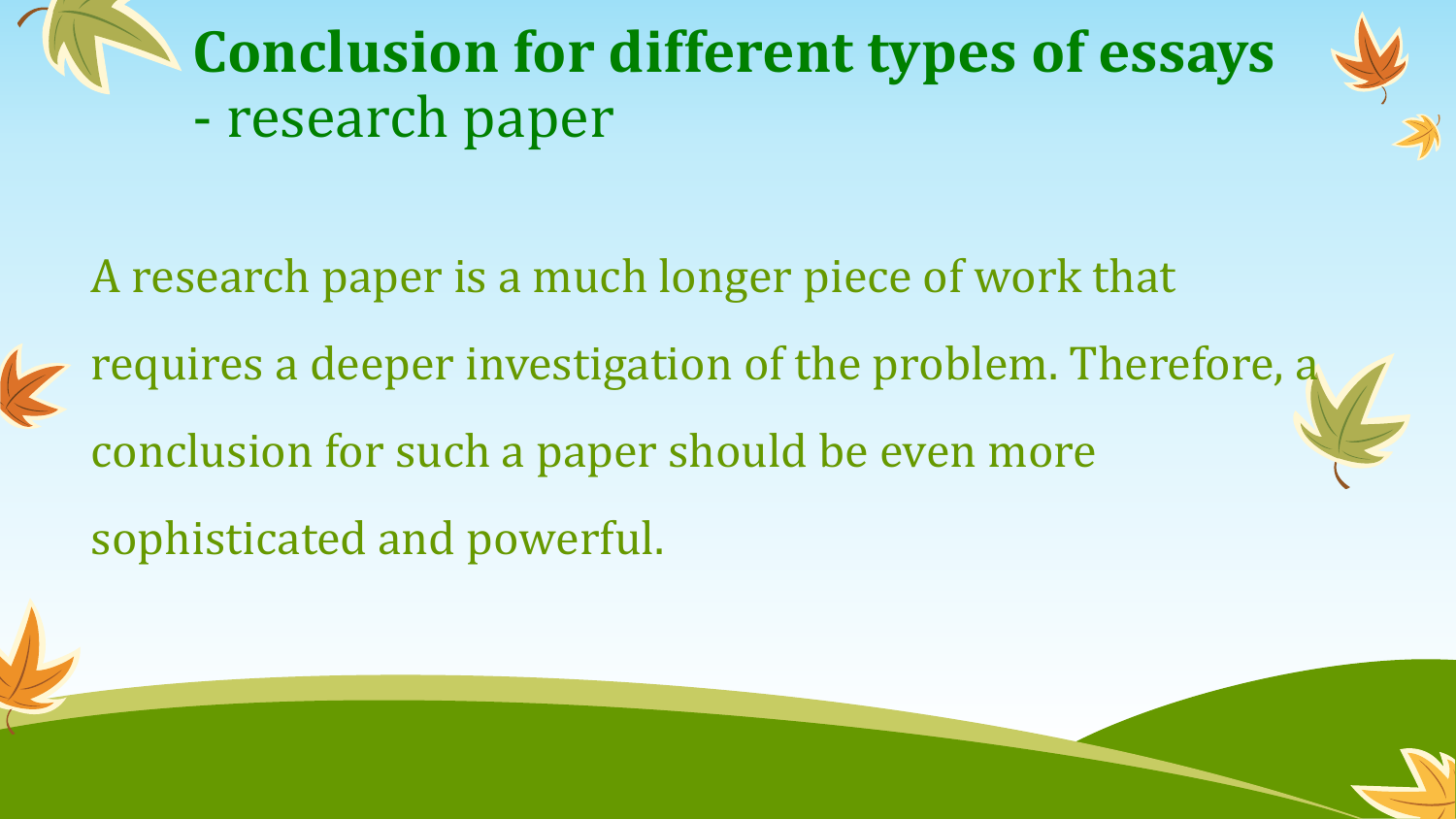

A research paper is a much longer piece of work that

requires a deeper investigation of the problem. Therefore, a conclusion for such a paper should be even more sophisticated and powerful.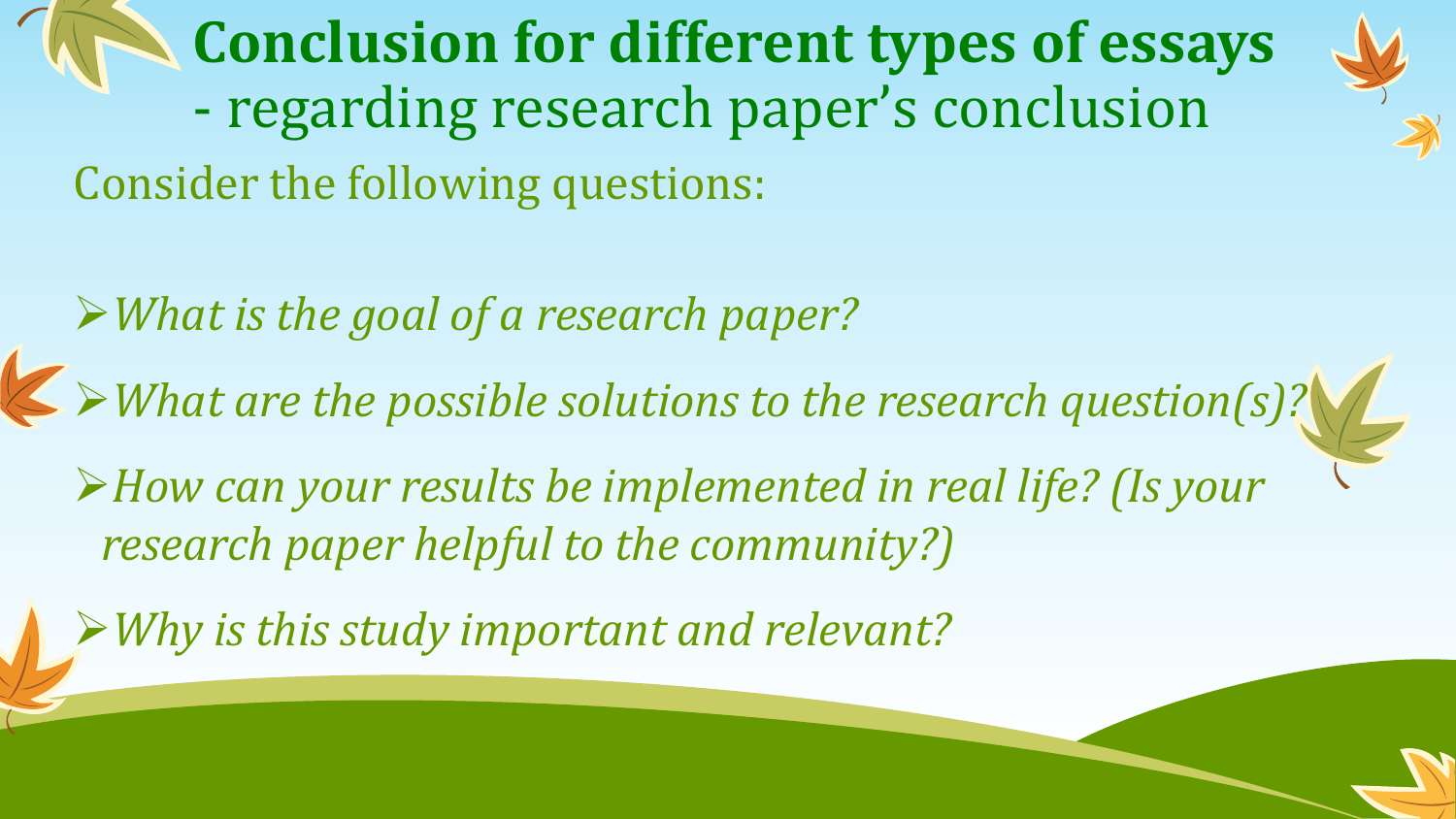**Conclusion for different types of essays** - regarding research paper's conclusion Consider the following questions:

*What is the goal of a research paper?*

*What are the possible solutions to the research question(s)?*

*How can your results be implemented in real life? (Is your research paper helpful to the community?)*

*Why is this study important and relevant?*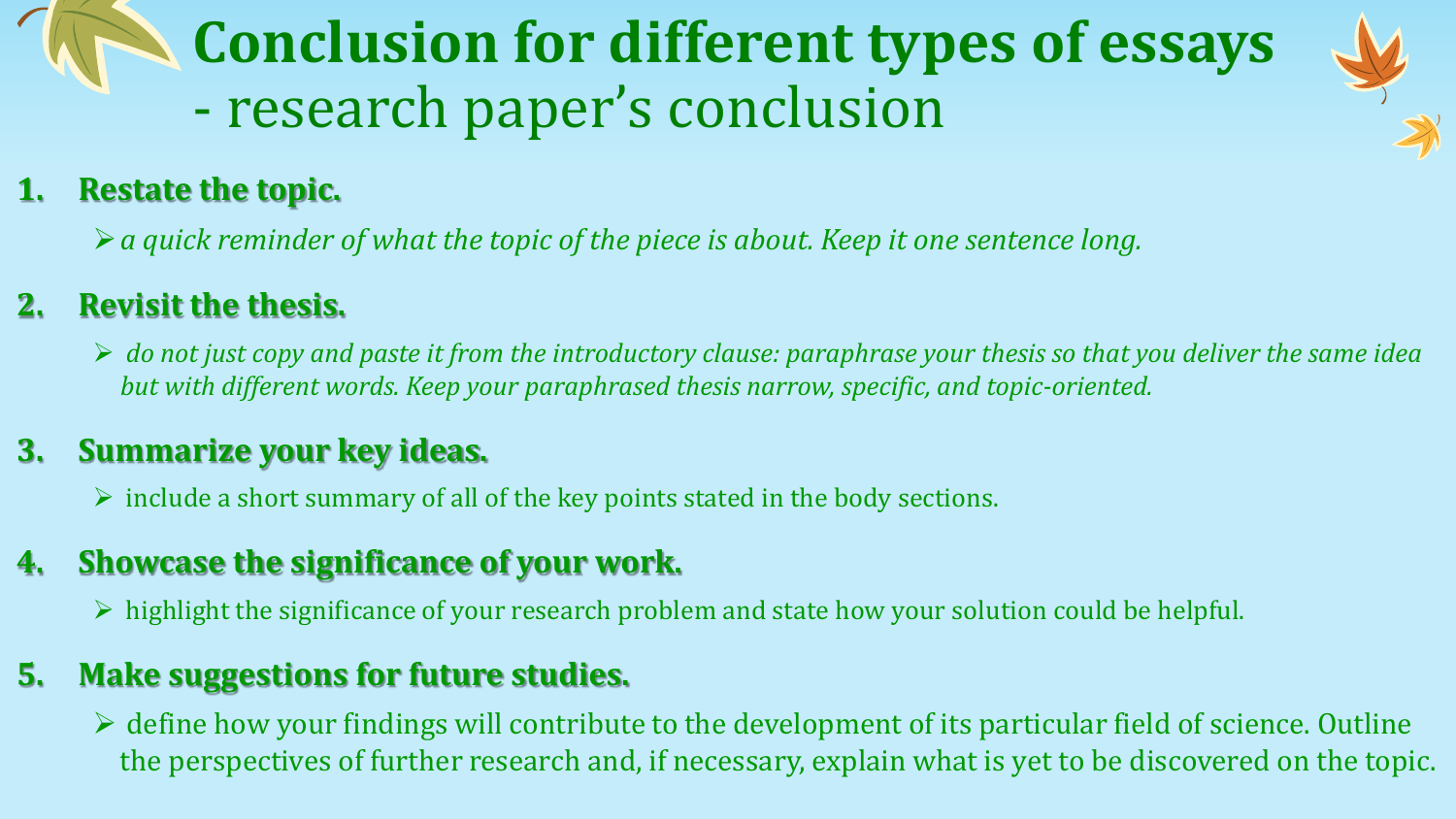### **Conclusion for different types of essays** - research paper's conclusion



#### **1. Restate the topic.**

*a quick reminder of what the topic of the piece is about. Keep it one sentence long.*

#### **2. Revisit the thesis.**

 *do not just copy and paste it from the introductory clause: paraphrase your thesis so that you deliver the same idea but with different words. Keep your paraphrased thesis narrow, specific, and topic-oriented.*

#### **3. Summarize your key ideas.**

 $\triangleright$  include a short summary of all of the key points stated in the body sections.

#### **4. Showcase the significance of your work.**

 $\triangleright$  highlight the significance of your research problem and state how your solution could be helpful.

#### **5. Make suggestions for future studies.**

 $\triangleright$  define how your findings will contribute to the development of its particular field of science. Outline the perspectives of further research and, if necessary, explain what is yet to be discovered on the topic.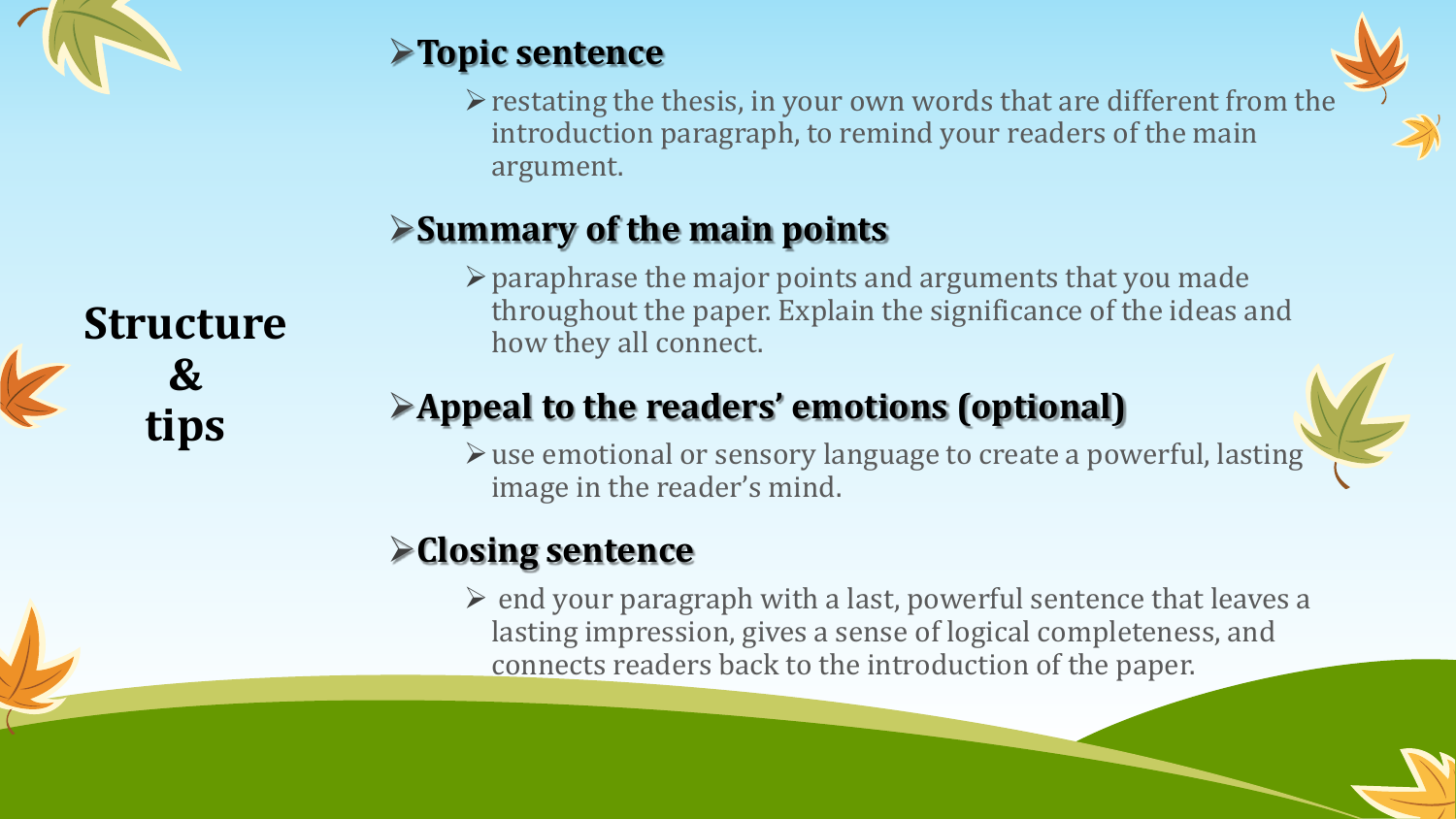

#### **Topic sentence**

 $\triangleright$  restating the thesis, in your own words that are different from the introduction paragraph, to remind your readers of the main argument.

#### **Summary of the main points**

 $\triangleright$  paraphrase the major points and arguments that you made throughout the paper. Explain the significance of the ideas and how they all connect.

#### **Appeal to the readers' emotions (optional)**

- 
- use emotional or sensory language to create a powerful, lasting image in the reader's mind.

#### **Closing sentence**

 $\triangleright$  end your paragraph with a last, powerful sentence that leaves a lasting impression, gives a sense of logical completeness, and connects readers back to the introduction of the paper.

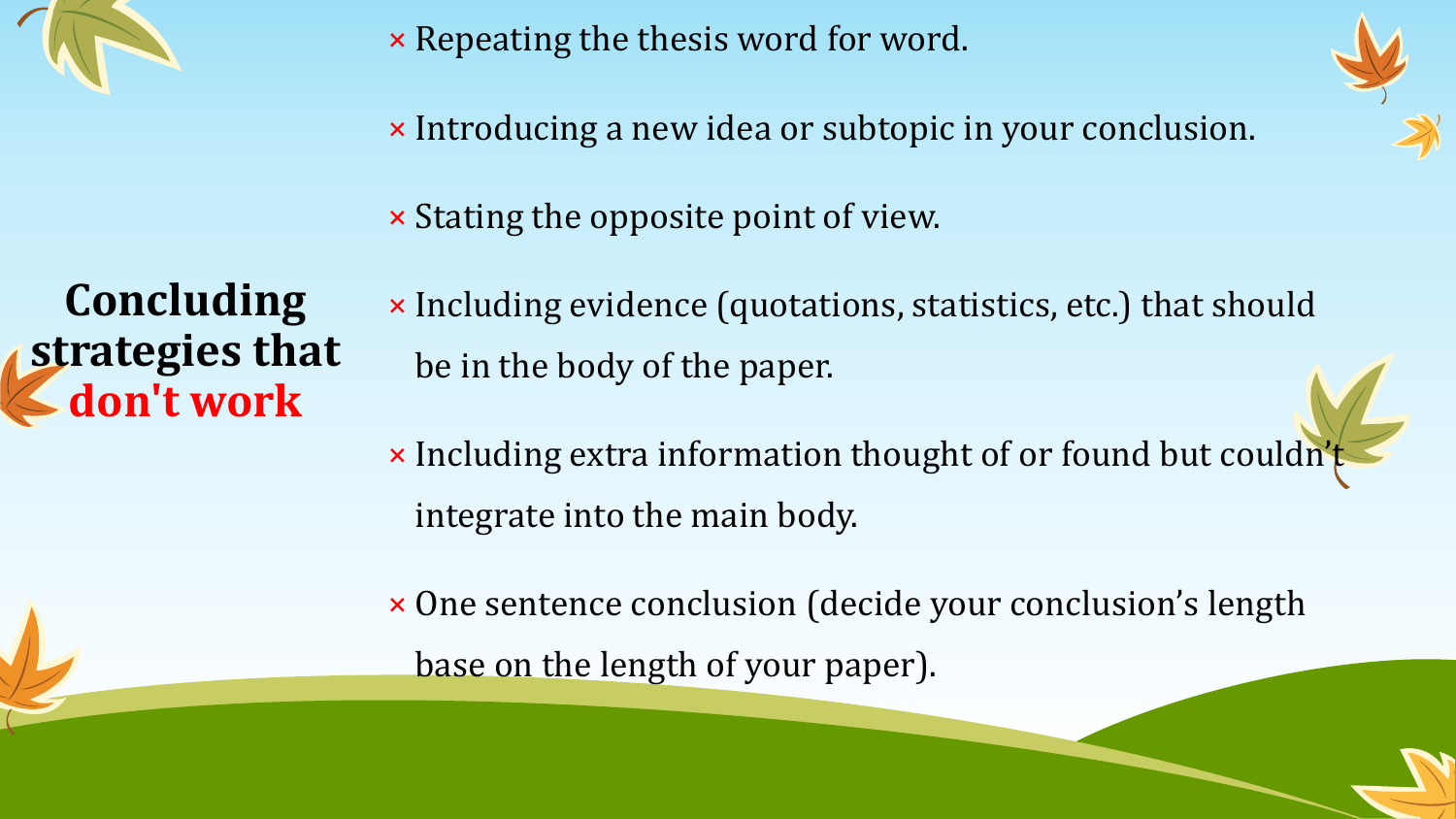

× Repeating the thesis word for word.

× Introducing a new idea or subtopic in your conclusion.



× Stating the opposite point of view.

**Concluding strategies that don't work**

- × Including evidence (quotations, statistics, etc.) that should be in the body of the paper.
- × Including extra information thought of or found but couldn't integrate into the main body.
- × One sentence conclusion (decide your conclusion's length base on the length of your paper).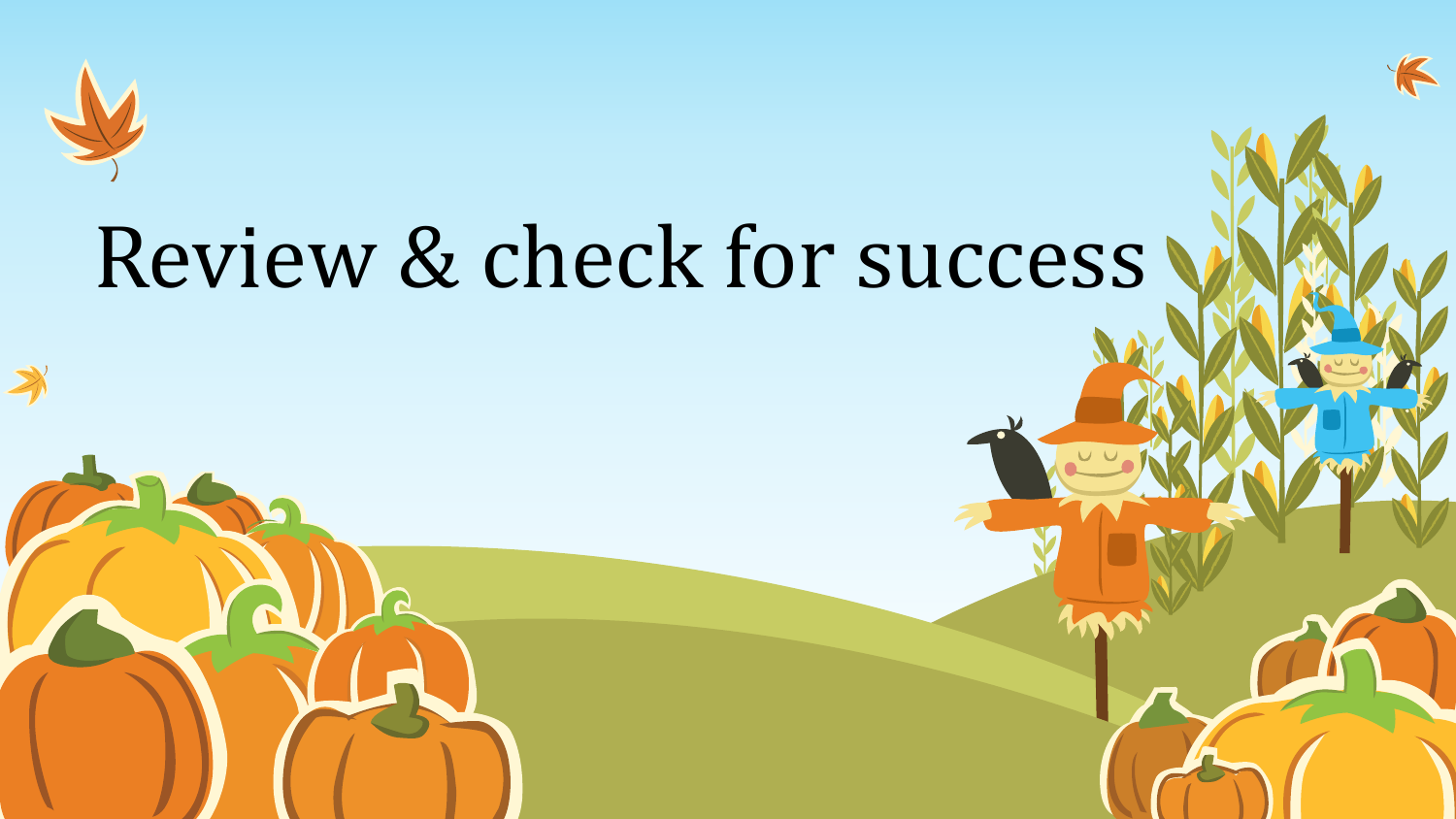

## Review & check for success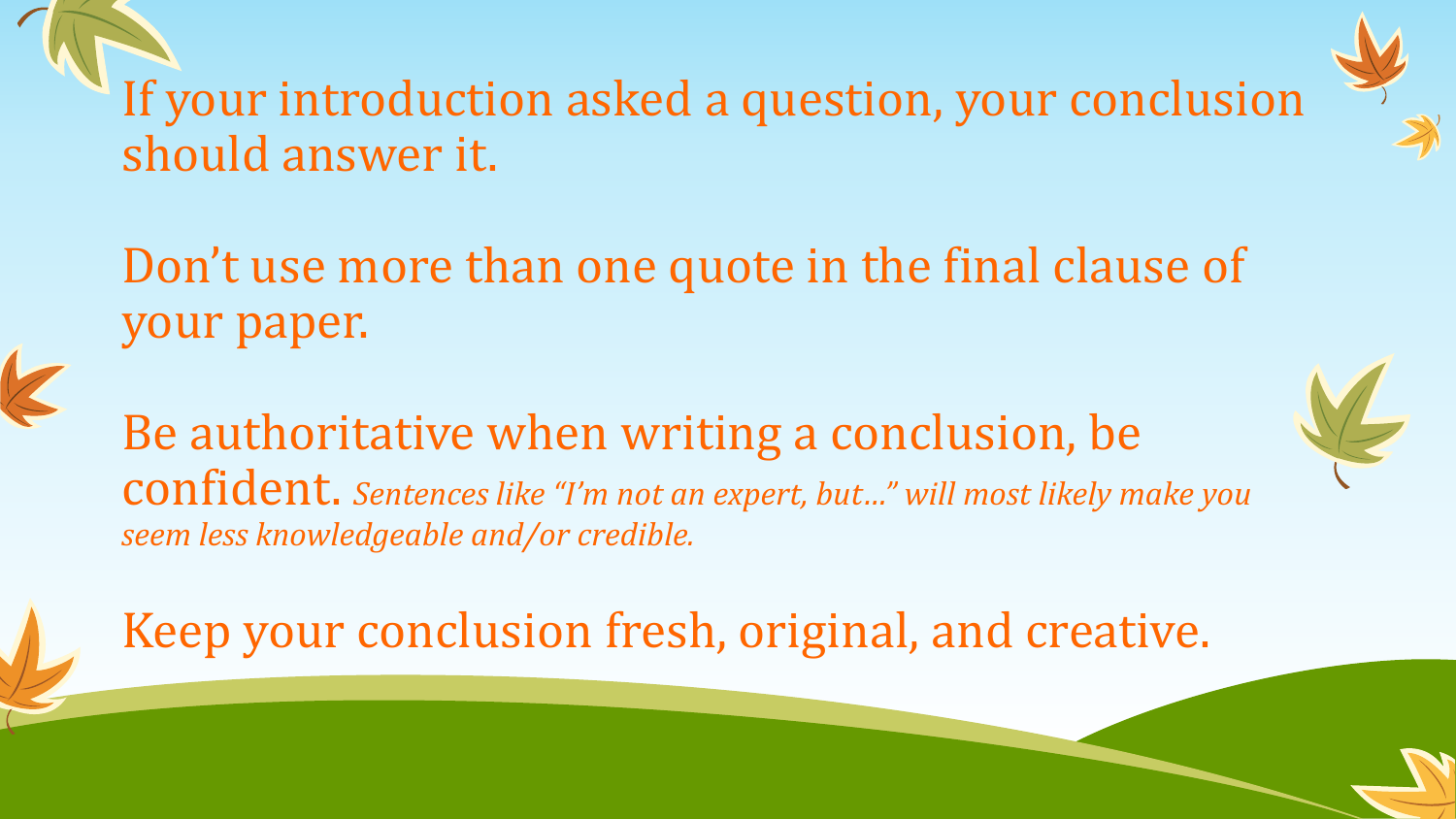If your introduction asked a question, your conclusion should answer it.

Don't use more than one quote in the final clause of your paper.

Be authoritative when writing a conclusion, be confident. *Sentences like "I'm not an expert, but…" will most likely make you seem less knowledgeable and/or credible.*

Keep your conclusion fresh, original, and creative.

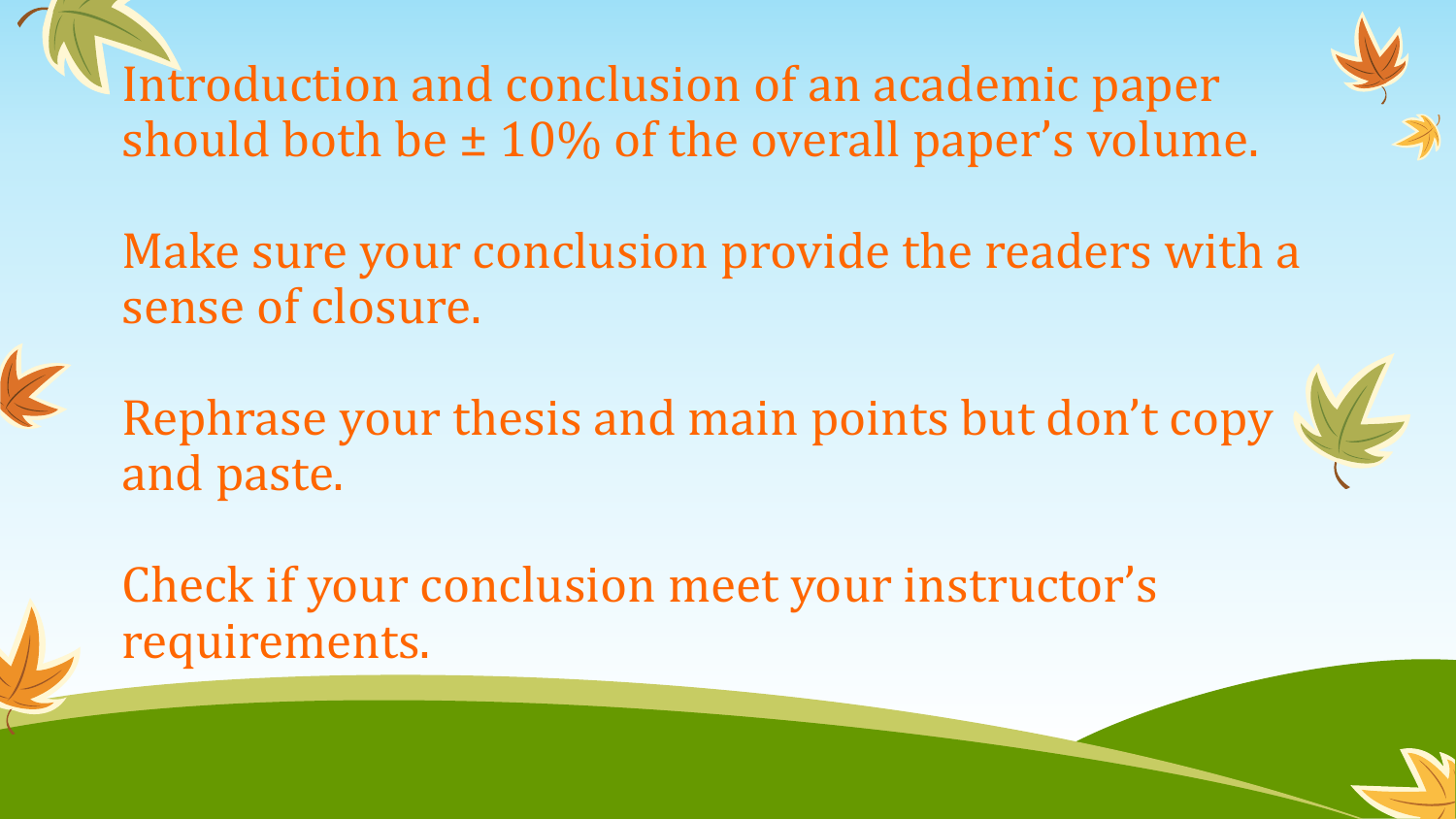Introduction and conclusion of an academic paper should both be ± 10% of the overall paper's volume.



Make sure your conclusion provide the readers with a sense of closure.

Rephrase your thesis and main points but don't copy and paste.

Check if your conclusion meet your instructor's requirements.